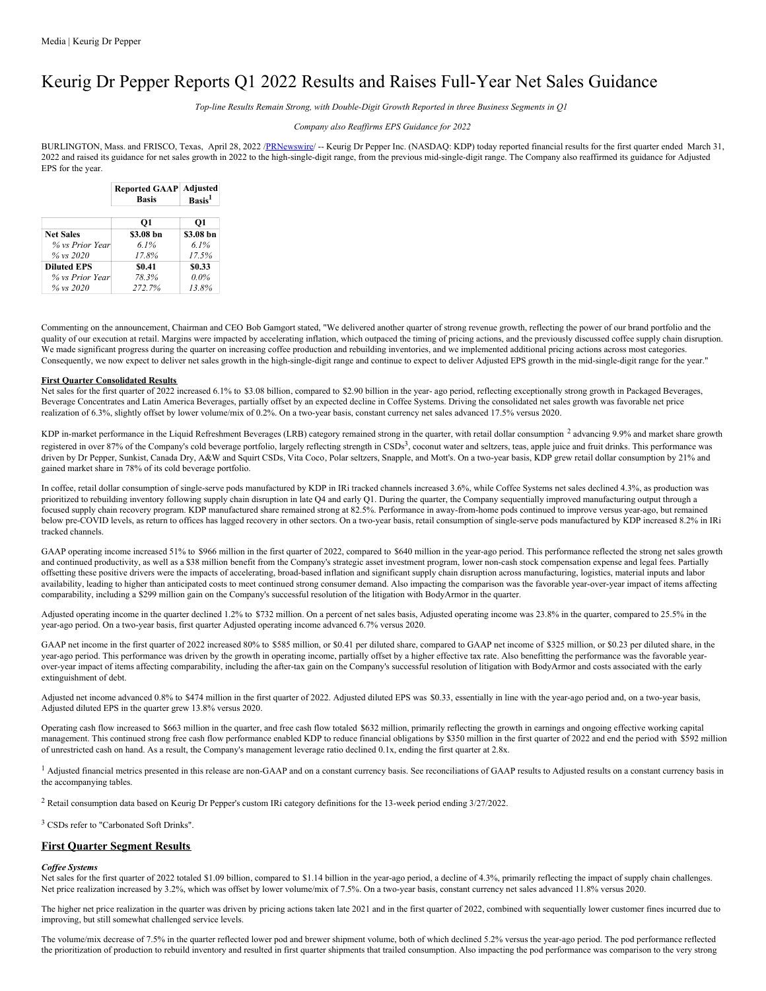# Keurig Dr Pepper Reports Q1 2022 Results and Raises Full-Year Net Sales Guidance

*Top-line Results Remain Strong, with Double-Digit Growth Reported in three Business Segments in Q1*

## *Company also Reaf irms EPS Guidance for 2022*

BURLINGTON, Mass. and FRISCO, Texas, April 28, 2022 /[PRNewswire](http://www.prnewswire.com/)/ -- Keurig Dr Pepper Inc. (NASDAQ: KDP) today reported financial results for the first quarter ended March 31, 2022 and raised its guidance for net sales growth in 2022 to the high-single-digit range, from the previous mid-single-digit range. The Company also reaffirmed its guidance for Adjusted EPS for the year.

|                    | <b>Reported GAAP Adjusted</b><br><b>Basis</b> | Basis <sup>1</sup> |
|--------------------|-----------------------------------------------|--------------------|
|                    | O1                                            | 01                 |
| <b>Net Sales</b>   | \$3.08 bn                                     | \$3.08 bn          |
| % vs Prior Year    | 6.1%                                          | $6.1\%$            |
| $\%$ vs 2020       | 17.8%                                         | 17.5%              |
| <b>Diluted EPS</b> | \$0.41                                        | \$0.33             |
| % vs Prior Year    | 78.3%                                         | $0.0\%$            |
| % vs 2020          | 272.7%                                        | 13.8%              |

Commenting on the announcement, Chairman and CEO Bob Gamgort stated, "We delivered another quarter of strong revenue growth, reflecting the power of our brand portfolio and the quality of our execution at retail. Margins were impacted by accelerating inflation, which outpaced the timing of pricing actions, and the previously discussed coffee supply chain disruption. We made significant progress during the quarter on increasing coffee production and rebuilding inventories, and we implemented additional pricing actions across most categories. Consequently, we now expect to deliver net sales growth in the high-single-digit range and continue to expect to deliver Adjusted EPS growth in the mid-single-digit range for the year."

### **First Quarter Consolidated Results**

Net sales for the first quarter of 2022 increased 6.1% to \$3.08 billion, compared to \$2.90 billion in the year- ago period, reflecting exceptionally strong growth in Packaged Beverages, Beverage Concentrates and Latin America Beverages, partially offset by an expected decline in Coffee Systems. Driving the consolidated net sales growth was favorable net price realization of 6.3%, slightly offset by lower volume/mix of 0.2%. On a two-year basis, constant currency net sales advanced 17.5% versus 2020.

KDP in-market performance in the Liquid Refreshment Beverages (LRB) category remained strong in the quarter, with retail dollar consumption <sup>2</sup> advancing 9.9% and market share growth registered in over 87% of the Company's cold beverage portfolio, largely reflecting strength in CSDs<sup>3</sup>, coconut water and seltzers, teas, apple juice and fruit drinks. This performance was driven by Dr Pepper, Sunkist, Canada Dry, A&W and Squirt CSDs, Vita Coco, Polar seltzers, Snapple, and Mott's. On a two-year basis, KDP grew retail dollar consumption by 21% and gained market share in 78% of its cold beverage portfolio.

In coffee, retail dollar consumption of single-serve pods manufactured by KDP in IRi tracked channels increased 3.6%, while Coffee Systems net sales declined 4.3%, as production was prioritized to rebuilding inventory following supply chain disruption in late Q4 and early Q1. During the quarter, the Company sequentially improved manufacturing output through a focused supply chain recovery program. KDP manufactured share remained strong at 82.5%. Performance in away-from-home pods continued to improve versus year-ago, but remained below pre-COVID levels, as return to offices has lagged recovery in other sectors. On a two-year basis, retail consumption of single-serve pods manufactured by KDP increased 8.2% in IRi tracked channels.

GAAP operating income increased 51% to \$966 million in the first quarter of 2022, compared to \$640 million in the year-ago period. This performance reflected the strong net sales growth and continued productivity, as well as a \$38 million benefit from the Company's strategic asset investment program, lower non-cash stock compensation expense and legal fees. Partially offsetting these positive drivers were the impacts of accelerating, broad-based inflation and significant supply chain disruption across manufacturing, logistics, material inputs and labor availability, leading to higher than anticipated costs to meet continued strong consumer demand. Also impacting the comparison was the favorable year-over-year impact of items affecting comparability, including a \$299 million gain on the Company's successful resolution of the litigation with BodyArmor in the quarter.

Adjusted operating income in the quarter declined 1.2% to \$732 million. On a percent of net sales basis, Adjusted operating income was 23.8% in the quarter, compared to 25.5% in the year-ago period. On a two-year basis, first quarter Adjusted operating income advanced 6.7% versus 2020.

GAAP net income in the first quarter of 2022 increased 80% to \$585 million, or \$0.41 per diluted share, compared to GAAP net income of \$325 million, or \$0.23 per diluted share, in the year-ago period. This performance was driven by the growth in operating income, partially offset by a higher effective tax rate. Also benefitting the performance was the favorable yearover-year impact of items affecting comparability, including the after-tax gain on the Company's successful resolution of litigation with BodyArmor and costs associated with the early extinguishment of debt.

Adjusted net income advanced 0.8% to \$474 million in the first quarter of 2022. Adjusted diluted EPS was \$0.33, essentially in line with the year-ago period and, on a two-year basis, Adjusted diluted EPS in the quarter grew 13.8% versus 2020.

Operating cash flow increased to \$663 million in the quarter, and free cash flow totaled \$632 million, primarily reflecting the growth in earnings and ongoing effective working capital management. This continued strong free cash flow performance enabled KDP to reduce financial obligations by \$350 million in the first quarter of 2022 and end the period with \$592 million of unrestricted cash on hand. As a result, the Company's management leverage ratio declined 0.1x, ending the first quarter at 2.8x.

<sup>1</sup> Adjusted financial metrics presented in this release are non-GAAP and on a constant currency basis. See reconciliations of GAAP results to Adjusted results on a constant currency basis in the accompanying tables.

<sup>2</sup> Retail consumption data based on Keurig Dr Pepper's custom IRi category definitions for the 13-week period ending 3/27/2022.

<sup>3</sup> CSDs refer to "Carbonated Soft Drinks".

## **First Quarter Segment Results**

#### *Cof ee Systems*

Net sales for the first quarter of 2022 totaled \$1.09 billion, compared to \$1.14 billion in the year-ago period, a decline of 4.3%, primarily reflecting the impact of supply chain challenges. Net price realization increased by 3.2%, which was offset by lower volume/mix of 7.5%. On a two-year basis, constant currency net sales advanced 11.8% versus 2020.

The higher net price realization in the quarter was driven by pricing actions taken late 2021 and in the first quarter of 2022, combined with sequentially lower customer fines incurred due to improving, but still somewhat challenged service levels.

The volume/mix decrease of 7.5% in the quarter reflected lower pod and brewer shipment volume, both of which declined 5.2% versus the year-ago period. The pod performance reflected the prioritization of production to rebuild inventory and resulted in first quarter shipments that trailed consumption. Also impacting the pod performance was comparison to the very strong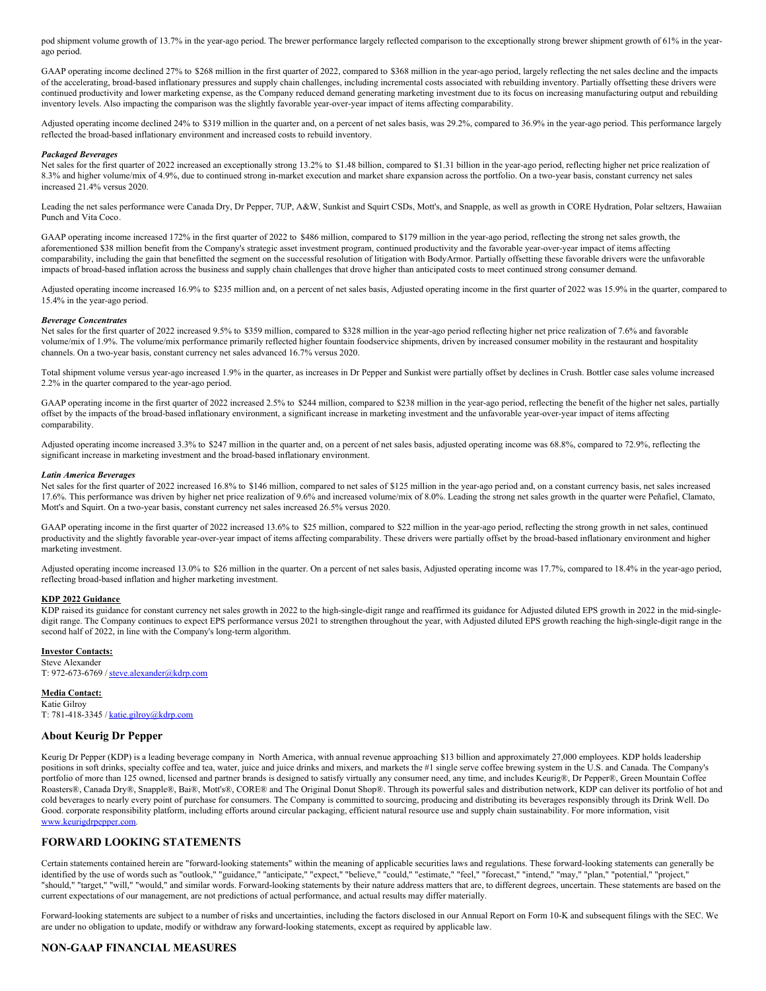pod shipment volume growth of 13.7% in the year-ago period. The brewer performance largely reflected comparison to the exceptionally strong brewer shipment growth of 61% in the yearago period.

GAAP operating income declined 27% to \$268 million in the first quarter of 2022, compared to \$368 million in the year-ago period, largely reflecting the net sales decline and the impacts of the accelerating, broad-based inflationary pressures and supply chain challenges, including incremental costs associated with rebuilding inventory. Partially offsetting these drivers were continued productivity and lower marketing expense, as the Company reduced demand generating marketing investment due to its focus on increasing manufacturing output and rebuilding inventory levels. Also impacting the comparison was the slightly favorable year-over-year impact of items affecting comparability.

Adjusted operating income declined 24% to \$319 million in the quarter and, on a percent of net sales basis, was 29.2%, compared to 36.9% in the year-ago period. This performance largely reflected the broad-based inflationary environment and increased costs to rebuild inventory.

#### *Packaged Beverages*

Net sales for the first quarter of 2022 increased an exceptionally strong 13.2% to \$1.48 billion, compared to \$1.31 billion in the year-ago period, reflecting higher net price realization of 8.3% and higher volume/mix of 4.9%, due to continued strong in-market execution and market share expansion across the portfolio. On a two-year basis, constant currency net sales increased 21.4% versus 2020.

Leading the net sales performance were Canada Dry, Dr Pepper, 7UP, A&W, Sunkist and Squirt CSDs, Mott's, and Snapple, as well as growth in CORE Hydration, Polar seltzers, Hawaiian Punch and Vita Coco.

GAAP operating income increased 172% in the first quarter of 2022 to \$486 million, compared to \$179 million in the year-ago period, reflecting the strong net sales growth, the aforementioned \$38 million benefit from the Company's strategic asset investment program, continued productivity and the favorable year-over-year impact of items affecting comparability, including the gain that benefitted the segment on the successful resolution of litigation with BodyArmor. Partially offsetting these favorable drivers were the unfavorable impacts of broad-based inflation across the business and supply chain challenges that drove higher than anticipated costs to meet continued strong consumer demand.

Adjusted operating income increased 16.9% to \$235 million and, on a percent of net sales basis, Adjusted operating income in the first quarter of 2022 was 15.9% in the quarter, compared to 15.4% in the year-ago period.

#### *Beverage Concentrates*

Net sales for the first quarter of 2022 increased 9.5% to \$359 million, compared to \$328 million in the year-ago period reflecting higher net price realization of 7.6% and favorable volume/mix of 1.9%. The volume/mix performance primarily reflected higher fountain foodservice shipments, driven by increased consumer mobility in the restaurant and hospitality channels. On a two-year basis, constant currency net sales advanced 16.7% versus 2020.

Total shipment volume versus year-ago increased 1.9% in the quarter, as increases in Dr Pepper and Sunkist were partially offset by declines in Crush. Bottler case sales volume increased 2.2% in the quarter compared to the year-ago period.

GAAP operating income in the first quarter of 2022 increased 2.5% to \$244 million, compared to \$238 million in the year-ago period, reflecting the benefit of the higher net sales, partially offset by the impacts of the broad-based inflationary environment, a significant increase in marketing investment and the unfavorable year-over-year impact of items affecting comparability.

Adjusted operating income increased 3.3% to \$247 million in the quarter and, on a percent of net sales basis, adjusted operating income was 68.8%, compared to 72.9%, reflecting the significant increase in marketing investment and the broad-based inflationary environment.

#### *Latin America Beverages*

Net sales for the first quarter of 2022 increased 16.8% to \$146 million, compared to net sales of \$125 million in the year-ago period and, on a constant currency basis, net sales increased 17.6%. This performance was driven by higher net price realization of 9.6% and increased volume/mix of 8.0%. Leading the strong net sales growth in the quarter were Peñafiel, Clamato, Mott's and Squirt. On a two-year basis, constant currency net sales increased 26.5% versus 2020.

GAAP operating income in the first quarter of 2022 increased 13.6% to \$25 million, compared to \$22 million in the year-ago period, reflecting the strong growth in net sales, continued productivity and the slightly favorable year-over-year impact of items affecting comparability. These drivers were partially offset by the broad-based inflationary environment and higher marketing investment.

Adjusted operating income increased 13.0% to \$26 million in the quarter. On a percent of net sales basis, Adjusted operating income was 17.7%, compared to 18.4% in the year-ago period, reflecting broad-based inflation and higher marketing investment.

### **KDP 2022 Guidance**

KDP raised its guidance for constant currency net sales growth in 2022 to the high-single-digit range and reaffirmed its guidance for Adjusted diluted EPS growth in 2022 in the mid-singledigit range. The Company continues to expect EPS performance versus 2021 to strengthen throughout the year, with Adjusted diluted EPS growth reaching the high-single-digit range in the second half of 2022, in line with the Company's long-term algorithm.

### **Investor Contacts:**

Steve Alexander T: 972-673-6769 / [steve.alexander@kdrp.com](mailto:steve.alexander@kdrp.com)

# **Media Contact:**

Katie Gilroy T: 781-418-3345 / [katie.gilroy@kdrp.com](mailto:katie.gilroy@kdrp.com)

## **About Keurig Dr Pepper**

Keurig Dr Pepper (KDP) is a leading beverage company in North America, with annual revenue approaching \$13 billion and approximately 27,000 employees. KDP holds leadership positions in soft drinks, specialty coffee and tea, water, juice and juice drinks and mixers, and markets the #1 single serve coffee brewing system in the U.S. and Canada. The Company's portfolio of more than 125 owned, licensed and partner brands is designed to satisfy virtually any consumer need, any time, and includes Keurig®, Dr Pepper®, Green Mountain Coffee Roasters®, Canada Dry®, Snapple®, Bai®, Mott's®, CORE® and The Original Donut Shop®. Through its powerful sales and distribution network, KDP can deliver its portfolio of hot and cold beverages to nearly every point of purchase for consumers. The Company is committed to sourcing, producing and distributing its beverages responsibly through its Drink Well. Do Good. corporate responsibility platform, including efforts around circular packaging, efficient natural resource use and supply chain sustainability. For more information, visit [www.keurigdrpepper.com](https://c212.net/c/link/?t=0&l=en&o=3514985-1&h=1125879649&u=http%3A%2F%2Fwww.keurigdrpepper.com&a=www.keurigdrpepper.com).

## **FORWARD LOOKING STATEMENTS**

Certain statements contained herein are "forward-looking statements" within the meaning of applicable securities laws and regulations. These forward-looking statements can generally be identified by the use of words such as "outlook," "guidance," "anticipate," "expect," "believe," "could," "estimate," "feel," "forecast," "intend," "may," "plan," "potential," "project," "should," "target," "will," "would," and similar words. Forward-looking statements by their nature address matters that are, to different degrees, uncertain. These statements are based on the current expectations of our management, are not predictions of actual performance, and actual results may differ materially.

Forward-looking statements are subject to a number of risks and uncertainties, including the factors disclosed in our Annual Report on Form 10-K and subsequent filings with the SEC. We are under no obligation to update, modify or withdraw any forward-looking statements, except as required by applicable law.

## **NON-GAAP FINANCIAL MEASURES**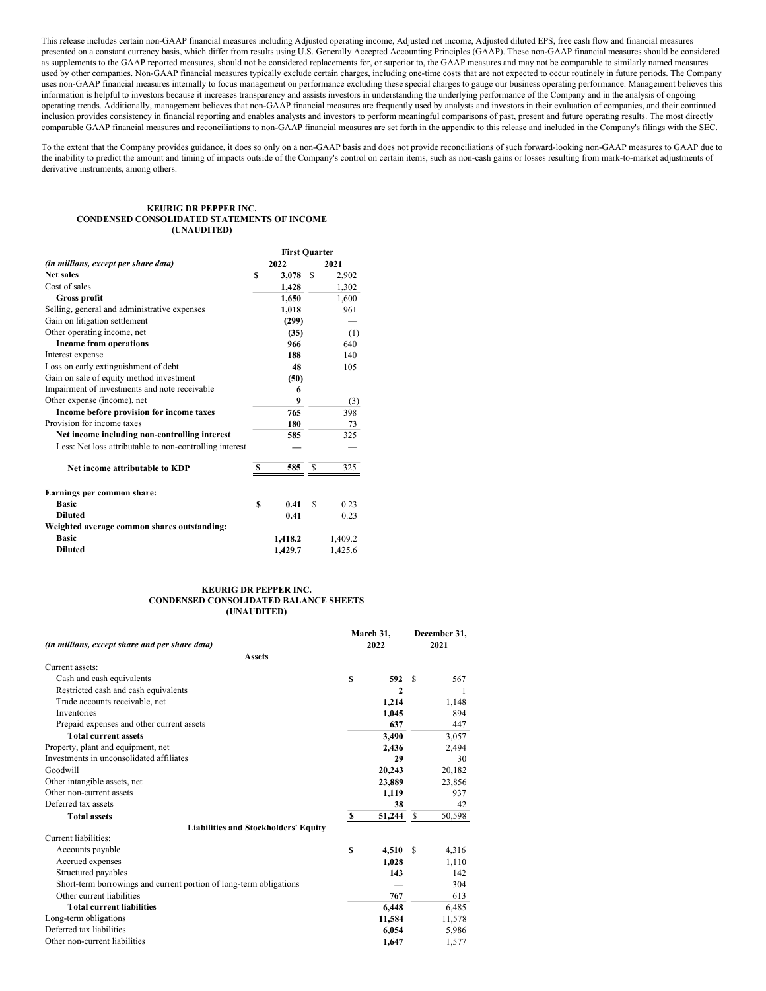This release includes certain non-GAAP financial measures including Adjusted operating income, Adjusted net income, Adjusted diluted EPS, free cash flow and financial measures presented on a constant currency basis, which differ from results using U.S. Generally Accepted Accounting Principles (GAAP). These non-GAAP financial measures should be considered as supplements to the GAAP reported measures, should not be considered replacements for, or superior to, the GAAP measures and may not be comparable to similarly named measures used by other companies. Non-GAAP financial measures typically exclude certain charges, including one-time costs that are not expected to occur routinely in future periods. The Company uses non-GAAP financial measures internally to focus management on performance excluding these special charges to gauge our business operating performance. Management believes this information is helpful to investors because it increases transparency and assists investors in understanding the underlying performance of the Company and in the analysis of ongoing operating trends. Additionally, management believes that non-GAAP financial measures are frequently used by analysts and investors in their evaluation of companies, and their continued inclusion provides consistency in financial reporting and enables analysts and investors to perform meaningful comparisons of past, present and future operating results. The most directly comparable GAAP financial measures and reconciliations to non-GAAP financial measures are set forth in the appendix to this release and included in the Company's filings with the SEC.

To the extent that the Company provides guidance, it does so only on a non-GAAP basis and does not provide reconciliations of such forward-looking non-GAAP measures to GAAP due to the inability to predict the amount and timing of impacts outside of the Company's control on certain items, such as non-cash gains or losses resulting from mark-to-market adjustments of derivative instruments, among others.

**First Quarter**

#### **KEURIG DR PEPPER INC. CONDENSED CONSOLIDATED STATEMENTS OF INCOME (UNAUDITED)**

|                                                         |   | <b>FIFST Quarter</b> |          |         |
|---------------------------------------------------------|---|----------------------|----------|---------|
| <i>(in millions, except per share data)</i>             |   | 2022                 |          | 2021    |
| <b>Net sales</b>                                        | S | 3.078                | <b>S</b> | 2,902   |
| Cost of sales                                           |   | 1,428                |          | 1,302   |
| Gross profit                                            |   | 1,650                |          | 1,600   |
| Selling, general and administrative expenses            |   | 1,018                |          | 961     |
| Gain on litigation settlement                           |   | (299)                |          |         |
| Other operating income, net                             |   | (35)                 |          | (1)     |
| <b>Income from operations</b>                           |   | 966                  |          | 640     |
| Interest expense                                        |   | 188                  |          | 140     |
| Loss on early extinguishment of debt                    |   | 48                   |          | 105     |
| Gain on sale of equity method investment                |   | (50)                 |          |         |
| Impairment of investments and note receivable           |   | 6                    |          |         |
| Other expense (income), net                             |   | 9                    |          | (3)     |
| Income before provision for income taxes                |   | 765                  |          | 398     |
| Provision for income taxes                              |   | 180                  |          | 73      |
| Net income including non-controlling interest           |   | 585                  |          | 325     |
| Less: Net loss attributable to non-controlling interest |   |                      |          |         |
| Net income attributable to KDP                          | S | 585                  | S        | 325     |
| Earnings per common share:                              |   |                      |          |         |
| <b>Basic</b>                                            | S | 0.41                 | S        | 0.23    |
| <b>Diluted</b>                                          |   | 0.41                 |          | 0.23    |
| Weighted average common shares outstanding:             |   |                      |          |         |
| <b>Basic</b>                                            |   | 1,418.2              |          | 1,409.2 |
| <b>Diluted</b>                                          |   | 1,429.7              |          | 1,425.6 |
|                                                         |   |                      |          |         |

#### **KEURIG DR PEPPER INC. CONDENSED CONSOLIDATED BALANCE SHEETS (UNAUDITED)**

|                                                                    |   | March 31,    |               | December 31, |
|--------------------------------------------------------------------|---|--------------|---------------|--------------|
| (in millions, except share and per share data)                     |   | 2022         |               | 2021         |
| <b>Assets</b>                                                      |   |              |               |              |
| Current assets:                                                    |   |              |               |              |
| Cash and cash equivalents                                          | S | 592          | £.            | 567          |
| Restricted cash and cash equivalents                               |   | $\mathbf{2}$ |               | 1            |
| Trade accounts receivable, net                                     |   | 1,214        |               | 1,148        |
| <b>Inventories</b>                                                 |   | 1,045        |               | 894          |
| Prepaid expenses and other current assets                          |   | 637          |               | 447          |
| <b>Total current assets</b>                                        |   | 3,490        |               | 3,057        |
| Property, plant and equipment, net                                 |   | 2,436        |               | 2,494        |
| Investments in unconsolidated affiliates                           |   | 29           |               | 30           |
| Goodwill                                                           |   | 20,243       |               | 20,182       |
| Other intangible assets, net                                       |   | 23,889       |               | 23,856       |
| Other non-current assets                                           |   | 1,119        |               | 937          |
| Deferred tax assets                                                |   | 38           |               | 42           |
| <b>Total assets</b>                                                | S | 51,244       | S             | 50,598       |
| <b>Liabilities and Stockholders' Equity</b>                        |   |              |               |              |
| Current liabilities:                                               |   |              |               |              |
| Accounts payable                                                   | S | 4,510        | <sup>\$</sup> | 4,316        |
| Accrued expenses                                                   |   | 1,028        |               | 1,110        |
| Structured payables                                                |   | 143          |               | 142          |
| Short-term borrowings and current portion of long-term obligations |   |              |               | 304          |
| Other current liabilities                                          |   | 767          |               | 613          |
| <b>Total current liabilities</b>                                   |   | 6,448        |               | 6,485        |
| Long-term obligations                                              |   | 11,584       |               | 11,578       |
| Deferred tax liabilities                                           |   | 6,054        |               | 5,986        |
| Other non-current liabilities                                      |   | 1,647        |               | 1,577        |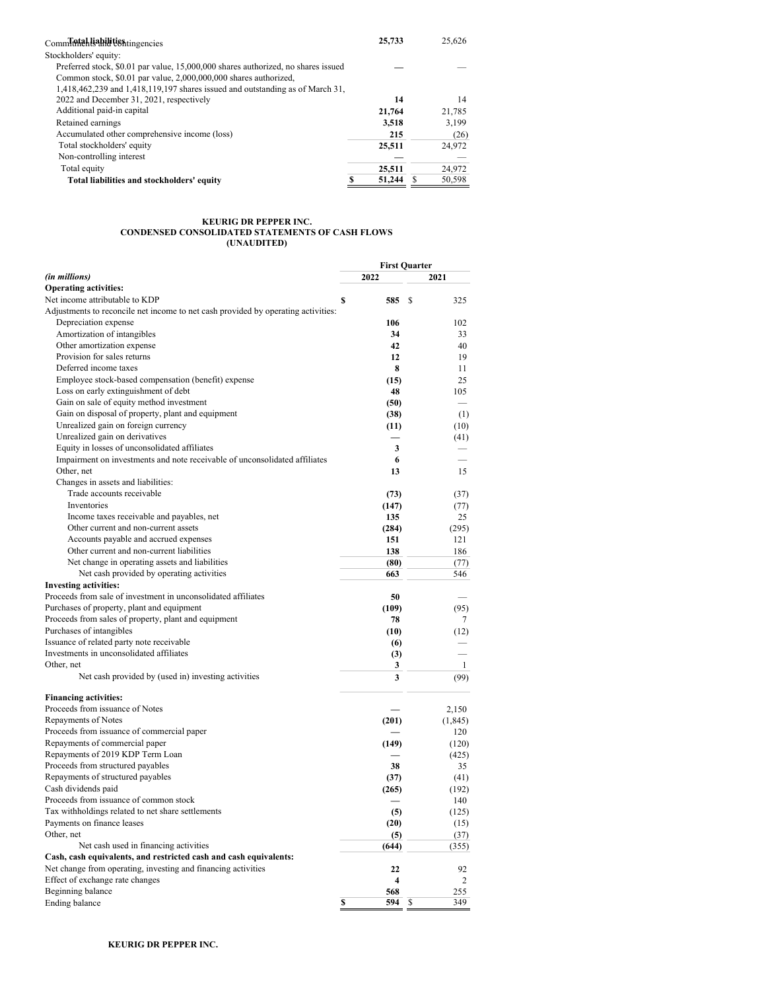| Commitments and tiestingencies                                                    | 25,733 | 25.626 |
|-----------------------------------------------------------------------------------|--------|--------|
| Stockholders' equity:                                                             |        |        |
| Preferred stock, \$0.01 par value, 15,000,000 shares authorized, no shares issued |        |        |
| Common stock, \$0.01 par value, 2,000,000,000 shares authorized,                  |        |        |
| 1,418,462,239 and 1,418,119,197 shares issued and outstanding as of March 31,     |        |        |
| 2022 and December 31, 2021, respectively                                          | 14     | 14     |
| Additional paid-in capital                                                        | 21,764 | 21,785 |
| Retained earnings                                                                 | 3,518  | 3.199  |
| Accumulated other comprehensive income (loss)                                     | 215    | (26)   |
| Total stockholders' equity                                                        | 25.511 | 24,972 |
| Non-controlling interest                                                          |        |        |
| Total equity                                                                      | 25.511 | 24,972 |
| Total liabilities and stockholders' equity                                        | 51,244 | 50.598 |

#### **KEURIG DR PEPPER INC. CONDENSED CONSOLIDATED STATEMENTS OF CASH FLOWS (UNAUDITED)**

|                                                                                   |    | <b>First Quarter</b>    |     |                |
|-----------------------------------------------------------------------------------|----|-------------------------|-----|----------------|
| (in millions)                                                                     |    | 2022                    |     | 2021           |
| <b>Operating activities:</b>                                                      |    |                         |     |                |
| Net income attributable to KDP                                                    | S  | 585                     | \$. | 325            |
| Adjustments to reconcile net income to net cash provided by operating activities: |    |                         |     |                |
| Depreciation expense                                                              |    | 106                     |     | 102            |
| Amortization of intangibles                                                       |    | 34                      |     | 33             |
| Other amortization expense                                                        |    | 42                      |     | 40             |
| Provision for sales returns                                                       |    | 12                      |     | 19             |
| Deferred income taxes                                                             |    | 8                       |     | 11             |
| Employee stock-based compensation (benefit) expense                               |    | (15)                    |     | 25             |
| Loss on early extinguishment of debt                                              |    | 48                      |     | 105            |
| Gain on sale of equity method investment                                          |    | (50)                    |     |                |
| Gain on disposal of property, plant and equipment                                 |    | (38)                    |     | (1)            |
| Unrealized gain on foreign currency                                               |    | (11)                    |     | (10)           |
| Unrealized gain on derivatives                                                    |    |                         |     | (41)           |
| Equity in losses of unconsolidated affiliates                                     |    | 3                       |     |                |
| Impairment on investments and note receivable of unconsolidated affiliates        |    | 6                       |     |                |
| Other, net                                                                        |    | 13                      |     | 15             |
| Changes in assets and liabilities:                                                |    |                         |     |                |
| Trade accounts receivable                                                         |    | (73)                    |     | (37)           |
| Inventories                                                                       |    | (147)                   |     | (77)           |
| Income taxes receivable and payables, net                                         |    | 135                     |     | 25             |
| Other current and non-current assets                                              |    | (284)                   |     | (295)          |
| Accounts payable and accrued expenses                                             |    | 151                     |     | 121            |
| Other current and non-current liabilities                                         |    | 138                     |     | 186            |
| Net change in operating assets and liabilities                                    |    | (80)                    |     | (77)           |
| Net cash provided by operating activities                                         |    | 663                     |     | 546            |
| <b>Investing activities:</b>                                                      |    |                         |     |                |
| Proceeds from sale of investment in unconsolidated affiliates                     |    | 50                      |     |                |
| Purchases of property, plant and equipment                                        |    | (109)                   |     | (95)           |
| Proceeds from sales of property, plant and equipment                              |    | 78                      |     | 7              |
| Purchases of intangibles                                                          |    | (10)                    |     | (12)           |
| Issuance of related party note receivable                                         |    | (6)                     |     |                |
| Investments in unconsolidated affiliates                                          |    | (3)                     |     |                |
| Other, net                                                                        |    | 3                       |     | $\mathbf{1}$   |
| Net cash provided by (used in) investing activities                               |    | 3                       |     | (99)           |
| <b>Financing activities:</b>                                                      |    |                         |     |                |
| Proceeds from issuance of Notes                                                   |    |                         |     | 2,150          |
| <b>Repayments of Notes</b>                                                        |    | (201)                   |     | (1, 845)       |
| Proceeds from issuance of commercial paper                                        |    |                         |     | 120            |
| Repayments of commercial paper                                                    |    | (149)                   |     | (120)          |
| Repayments of 2019 KDP Term Loan                                                  |    |                         |     | (425)          |
| Proceeds from structured payables                                                 |    | 38                      |     | 35             |
| Repayments of structured payables                                                 |    | (37)                    |     | (41)           |
| Cash dividends paid                                                               |    | (265)                   |     | (192)          |
| Proceeds from issuance of common stock                                            |    |                         |     | 140            |
| Tax withholdings related to net share settlements                                 |    | (5)                     |     | (125)          |
| Payments on finance leases                                                        |    | (20)                    |     | (15)           |
| Other, net                                                                        |    | (5)                     |     | (37)           |
| Net cash used in financing activities                                             |    | (644)                   |     | (355)          |
| Cash, cash equivalents, and restricted cash and cash equivalents:                 |    |                         |     |                |
| Net change from operating, investing and financing activities                     |    | 22                      |     | 92             |
| Effect of exchange rate changes                                                   |    | $\overline{\mathbf{4}}$ |     | $\overline{2}$ |
| Beginning balance                                                                 |    | 568                     |     | 255            |
| Ending balance                                                                    | \$ | 594 \$                  |     | 349            |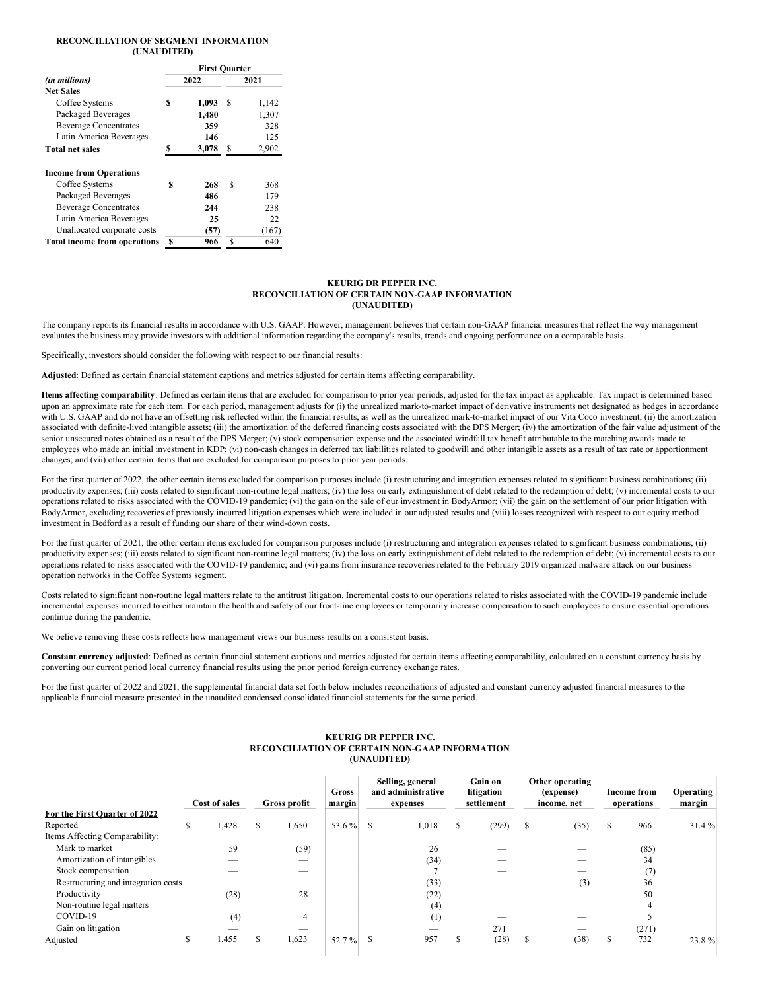## **RECONCILIATION OF SEGMENT INFORMATION (UNAUDITED)**

|                                                                                                                                                                 |    | <b>First Ouarter</b>            |      |                                  |  |  |
|-----------------------------------------------------------------------------------------------------------------------------------------------------------------|----|---------------------------------|------|----------------------------------|--|--|
| (in millions)                                                                                                                                                   |    | 2022                            | 2021 |                                  |  |  |
| <b>Net Sales</b>                                                                                                                                                |    |                                 |      |                                  |  |  |
| Coffee Systems                                                                                                                                                  | \$ | 1,093                           | S    | 1,142                            |  |  |
| Packaged Beverages                                                                                                                                              |    | 1,480                           |      | 1,307                            |  |  |
| <b>Beverage Concentrates</b>                                                                                                                                    |    | 359                             |      | 328                              |  |  |
| Latin America Beverages                                                                                                                                         |    | 146                             |      | 125                              |  |  |
| <b>Total net sales</b>                                                                                                                                          | S  | 3,078                           | S    | 2,902                            |  |  |
| <b>Income from Operations</b><br>Coffee Systems<br>Packaged Beverages<br><b>Beverage Concentrates</b><br>Latin America Beverages<br>Unallocated corporate costs | \$ | 268<br>486<br>244<br>25<br>(57) | \$   | 368<br>179<br>238<br>22<br>(167) |  |  |
| <b>Total income from operations</b>                                                                                                                             | S  | 966                             | \$.  | 640                              |  |  |

#### **KEURIG DR PEPPER INC. RECONCILIATION OF CERTAIN NON-GAAP INFORMATION (UNAUDITED)**

The company reports its financial results in accordance with U.S. GAAP. However, management believes that certain non-GAAP financial measures that reflect the way management evaluates the business may provide investors with additional information regarding the company's results, trends and ongoing performance on a comparable basis.

Specifically, investors should consider the following with respect to our financial results:

**Adjusted**: Defined as certain financial statement captions and metrics adjusted for certain items affecting comparability.

**Items affecting comparability**: Defined as certain items that are excluded for comparison to prior year periods, adjusted for the tax impact as applicable. Tax impact is determined based upon an approximate rate for each item. For each period, management adjusts for (i) the unrealized mark-to-market impact of derivative instruments not designated as hedges in accordance with U.S. GAAP and do not have an offsetting risk reflected within the financial results, as well as the unrealized mark-to-market impact of our Vita Coco investment; (ii) the amortization associated with definite-lived intangible assets; (iii) the amortization of the deferred financing costs associated with the DPS Merger; (iv) the amortization of the fair value adjustment of the senior unsecured notes obtained as a result of the DPS Merger; (v) stock compensation expense and the associated windfall tax benefit attributable to the matching awards made to employees who made an initial investment in KDP; (vi) non-cash changes in deferred tax liabilities related to goodwill and other intangible assets as a result of tax rate or apportionment changes; and (vii) other certain items that are excluded for comparison purposes to prior year periods.

For the first quarter of 2022, the other certain items excluded for comparison purposes include (i) restructuring and integration expenses related to significant business combinations; (ii) productivity expenses; (iii) costs related to significant non-routine legal matters; (iv) the loss on early extinguishment of debt related to the redemption of debt; (v) incremental costs to our operations related to risks associated with the COVID-19 pandemic; (vi) the gain on the sale of our investment in BodyArmor; (vii) the gain on the settlement of our prior litigation with BodyArmor, excluding recoveries of previously incurred litigation expenses which were included in our adjusted results and (viii) losses recognized with respect to our equity method investment in Bedford as a result of funding our share of their wind-down costs.

For the first quarter of 2021, the other certain items excluded for comparison purposes include (i) restructuring and integration expenses related to significant business combinations; (ii) productivity expenses; (iii) costs related to significant non-routine legal matters; (iv) the loss on early extinguishment of debt related to the redemption of debt; (v) incremental costs to our operations related to risks associated with the COVID-19 pandemic; and (vi) gains from insurance recoveries related to the February 2019 organized malware attack on our business operation networks in the Coffee Systems segment.

Costs related to significant non-routine legal matters relate to the antitrust litigation. Incremental costs to our operations related to risks associated with the COVID-19 pandemic include incremental expenses incurred to either maintain the health and safety of our front-line employees or temporarily increase compensation to such employees to ensure essential operations continue during the pandemic.

We believe removing these costs reflects how management views our business results on a consistent basis.

**Constant currency adjusted**: Defined as certain financial statement captions and metrics adjusted for certain items affecting comparability, calculated on a constant currency basis by converting our current period local currency financial results using the prior period foreign currency exchange rates.

For the first quarter of 2022 and 2021, the supplemental financial data set forth below includes reconciliations of adjusted and constant currency adjusted financial measures to the applicable financial measure presented in the unaudited condensed consolidated financial statements for the same period.

#### **KEURIG DR PEPPER INC. RECONCILIATION OF CERTAIN NON-GAAP INFORMATION (UNAUDITED)**

|                                     |   | Cost of sales |   | Gross profit | Gross<br>margin |   | Selling, general<br>and administrative<br>expenses |   | Gain on<br>litigation<br>settlement | Other operating<br>(expense)<br>income, net | <b>Income from</b><br>operations | Operating<br>margin |
|-------------------------------------|---|---------------|---|--------------|-----------------|---|----------------------------------------------------|---|-------------------------------------|---------------------------------------------|----------------------------------|---------------------|
| For the First Quarter of 2022       |   |               |   |              |                 |   |                                                    |   |                                     |                                             |                                  |                     |
| Reported                            | S | 1,428         | Ж | 1,650        | 53.6%           | S | 1,018                                              | S | (299)                               | \$<br>(35)                                  | \$<br>966                        | 31.4%               |
| Items Affecting Comparability:      |   |               |   |              |                 |   |                                                    |   |                                     |                                             |                                  |                     |
| Mark to market                      |   | 59            |   | (59)         |                 |   | 26                                                 |   |                                     |                                             | (85)                             |                     |
| Amortization of intangibles         |   |               |   |              |                 |   | (34)                                               |   |                                     |                                             | 34                               |                     |
| Stock compensation                  |   |               |   |              |                 |   |                                                    |   |                                     |                                             | (7)                              |                     |
| Restructuring and integration costs |   |               |   |              |                 |   | (33)                                               |   |                                     | (3)                                         | 36                               |                     |
| Productivity                        |   | (28)          |   | 28           |                 |   | (22)                                               |   |                                     |                                             | 50                               |                     |
| Non-routine legal matters           |   | __            |   |              |                 |   | (4)                                                |   |                                     |                                             | 4                                |                     |
| COVID-19                            |   | (4)           |   |              |                 |   | (1)                                                |   |                                     |                                             |                                  |                     |
| Gain on litigation                  |   |               |   |              |                 |   |                                                    |   | 271                                 |                                             | (271)                            |                     |
| Adjusted                            |   | 1,455         |   | 1,623        | 52.7%           |   | 957                                                |   | (28)                                | (38)                                        | 732                              | 23.8%               |
|                                     |   |               |   |              |                 |   |                                                    |   |                                     |                                             |                                  |                     |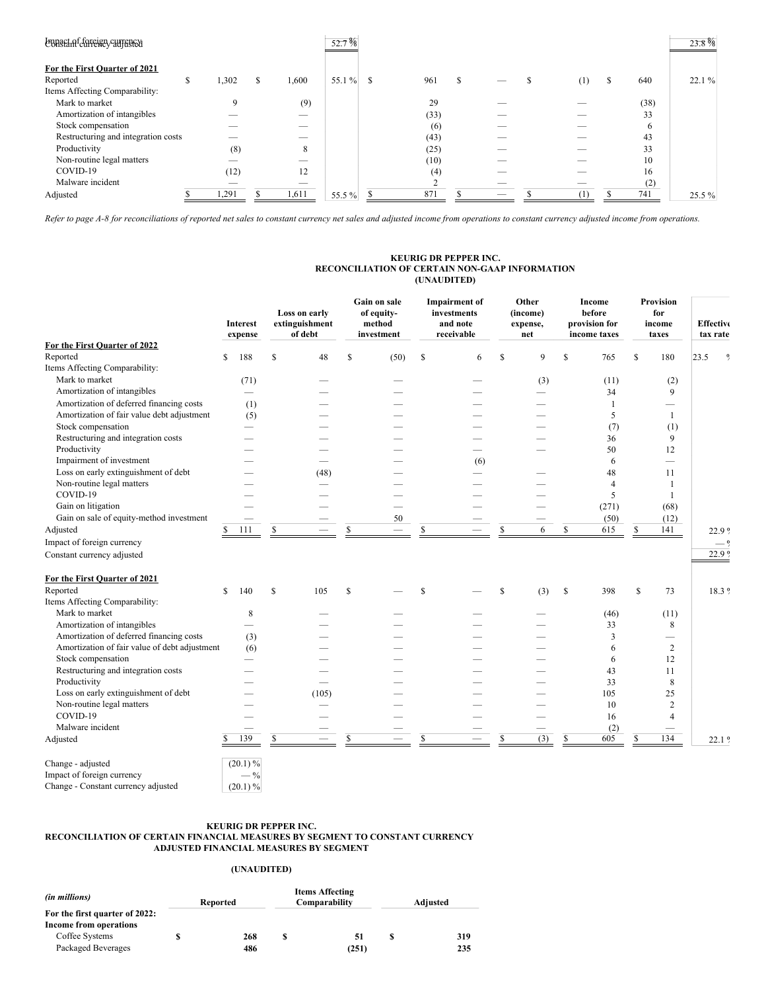| Lunaet of foreign currency          |     |             |   |       | 52.7%  |   |      |   |    |          |    |      | $23.8\%$ |
|-------------------------------------|-----|-------------|---|-------|--------|---|------|---|----|----------|----|------|----------|
| For the First Quarter of 2021       |     |             |   |       |        |   |      |   |    |          |    |      |          |
| Reported                            | Эħ. | 1,302       | S | 1,600 | 55.1 % | S | 961  | S |    | (1)      | D. | 640  | 22.1%    |
| Items Affecting Comparability:      |     |             |   |       |        |   |      |   |    |          |    |      |          |
| Mark to market                      |     | $\mathbf Q$ |   | (9)   |        |   | 29   |   |    |          |    | (38) |          |
| Amortization of intangibles         |     |             |   | __    |        |   | (33) |   |    |          |    | 33   |          |
| Stock compensation                  |     |             |   |       |        |   | (6)  |   |    |          |    | 6    |          |
| Restructuring and integration costs |     |             |   | __    |        |   | (43) |   |    |          |    | 43   |          |
| Productivity                        |     | (8)         |   | 8     |        |   | (25) |   |    |          |    | 33   |          |
| Non-routine legal matters           |     |             |   | --    |        |   | (10) |   |    |          |    | 10   |          |
| COVID-19                            |     | (12)        |   | 12    |        |   | (4)  |   |    |          |    | 16   |          |
| Malware incident                    |     | __          |   |       |        |   |      |   | -- |          |    | (2)  |          |
| Adjusted                            |     | .291        |   | 1,611 | 55.5 % |   | 871  |   |    | $^{(1)}$ |    | 741  | 25.5 %   |

Refer to page A-8 for reconciliations of reported net sales to constant currency net sales and adjusted income from operations to constant currency adjusted income from operations.

## **KEURIG DR PEPPER INC. RECONCILIATION OF CERTAIN NON-GAAP INFORMATION (UNAUDITED)**

|                                               | Interest<br>expense      |              | Loss on early<br>extinguishment<br>of debt |               | Gain on sale<br>of equity-<br>method<br>investment |               | <b>Impairment</b> of<br>investments<br>and note<br>receivable | Other<br>(income)<br>expense,<br>net | Income<br>before<br>provision for<br>income taxes | <b>Provision</b><br>for<br>income<br>taxes |      | <b>Effective</b><br>tax rate |  |
|-----------------------------------------------|--------------------------|--------------|--------------------------------------------|---------------|----------------------------------------------------|---------------|---------------------------------------------------------------|--------------------------------------|---------------------------------------------------|--------------------------------------------|------|------------------------------|--|
| For the First Quarter of 2022                 |                          |              |                                            |               |                                                    |               |                                                               |                                      |                                                   |                                            |      |                              |  |
| Reported                                      | \$<br>188                | \$           | 48                                         | \$.           | (50)                                               | \$            | 6                                                             | \$<br>9                              | \$<br>765                                         | \$<br>180                                  | 23.5 | $\frac{0}{2}$                |  |
| Items Affecting Comparability:                |                          |              |                                            |               |                                                    |               |                                                               |                                      |                                                   |                                            |      |                              |  |
| Mark to market                                | (71)                     |              |                                            |               |                                                    |               |                                                               | (3)                                  | (11)                                              | (2)                                        |      |                              |  |
| Amortization of intangibles                   |                          |              |                                            |               |                                                    |               |                                                               |                                      | 34                                                | 9                                          |      |                              |  |
| Amortization of deferred financing costs      | (1)                      |              |                                            |               |                                                    |               |                                                               |                                      | 1                                                 | $\overline{\phantom{0}}$                   |      |                              |  |
| Amortization of fair value debt adjustment    | (5)                      |              |                                            |               |                                                    |               |                                                               |                                      | 5                                                 | $\mathbf{1}$                               |      |                              |  |
| Stock compensation                            | $\overline{\phantom{a}}$ |              |                                            |               |                                                    |               |                                                               |                                      | (7)                                               | (1)                                        |      |                              |  |
| Restructuring and integration costs           |                          |              |                                            |               |                                                    |               |                                                               |                                      | 36                                                | 9                                          |      |                              |  |
| Productivity                                  |                          |              |                                            |               |                                                    |               |                                                               |                                      | 50                                                | 12                                         |      |                              |  |
| Impairment of investment                      |                          |              | $\sim$                                     |               |                                                    |               | (6)                                                           |                                      | 6                                                 | $\overline{\phantom{0}}$                   |      |                              |  |
| Loss on early extinguishment of debt          |                          |              | (48)                                       |               |                                                    |               |                                                               |                                      | 48                                                | 11                                         |      |                              |  |
| Non-routine legal matters                     |                          |              |                                            |               |                                                    |               |                                                               |                                      | 4                                                 | $\mathbf{1}$                               |      |                              |  |
| COVID-19                                      |                          |              |                                            |               |                                                    |               |                                                               |                                      | 5                                                 | $\mathbf{1}$                               |      |                              |  |
| Gain on litigation                            |                          |              |                                            |               | $\overline{\phantom{0}}$                           |               |                                                               |                                      | (271)                                             | (68)                                       |      |                              |  |
| Gain on sale of equity-method investment      |                          |              |                                            |               | 50                                                 |               |                                                               |                                      | (50)                                              | (12)                                       |      |                              |  |
| Adjusted                                      | \$<br>111                | \$           |                                            | S             |                                                    | \$            | $\overline{\phantom{a}}$                                      | \$<br>6                              | \$<br>615                                         | \$<br>141                                  |      | 22.9 %                       |  |
| Impact of foreign currency                    |                          |              |                                            |               |                                                    |               |                                                               |                                      |                                                   |                                            |      |                              |  |
| Constant currency adjusted                    |                          |              |                                            |               |                                                    |               |                                                               |                                      |                                                   |                                            |      | 22.9 %                       |  |
| For the First Quarter of 2021                 |                          |              |                                            |               |                                                    |               |                                                               |                                      |                                                   |                                            |      |                              |  |
| Reported                                      | \$<br>140                | S            | 105                                        | <sup>\$</sup> |                                                    | <sup>\$</sup> |                                                               | \$<br>(3)                            | \$<br>398                                         | \$<br>73                                   |      | 18.3 %                       |  |
| Items Affecting Comparability:                |                          |              |                                            |               |                                                    |               |                                                               |                                      |                                                   |                                            |      |                              |  |
| Mark to market                                | 8                        |              |                                            |               |                                                    |               |                                                               |                                      | (46)                                              | (11)                                       |      |                              |  |
| Amortization of intangibles                   |                          |              |                                            |               |                                                    |               |                                                               |                                      | 33                                                | 8                                          |      |                              |  |
| Amortization of deferred financing costs      | (3)                      |              |                                            |               |                                                    |               |                                                               |                                      | 3                                                 | $\overline{\phantom{0}}$                   |      |                              |  |
| Amortization of fair value of debt adjustment | (6)                      |              |                                            |               |                                                    |               |                                                               |                                      | 6                                                 | 2                                          |      |                              |  |
| Stock compensation                            | and the                  |              |                                            |               |                                                    |               |                                                               |                                      | 6                                                 | 12                                         |      |                              |  |
| Restructuring and integration costs           |                          |              |                                            |               |                                                    |               |                                                               |                                      | 43                                                | 11                                         |      |                              |  |
| Productivity                                  |                          |              |                                            |               |                                                    |               |                                                               |                                      | 33                                                | 8                                          |      |                              |  |
| Loss on early extinguishment of debt          |                          |              | (105)                                      |               |                                                    |               |                                                               |                                      | 105                                               | 25                                         |      |                              |  |
| Non-routine legal matters                     |                          |              |                                            |               |                                                    |               |                                                               |                                      | 10                                                | $\overline{c}$                             |      |                              |  |
| COVID-19                                      |                          |              |                                            |               |                                                    |               |                                                               |                                      | 16                                                | $\overline{4}$                             |      |                              |  |
| Malware incident                              |                          |              |                                            |               |                                                    |               |                                                               |                                      | (2)                                               |                                            |      |                              |  |
| Adjusted                                      | \$<br>139                | $\mathbb{S}$ |                                            | S             |                                                    | \$            |                                                               | \$<br>(3)                            | \$<br>605                                         | \$<br>134                                  |      | 22.1 <sup>9</sup>            |  |
| Change - adjusted                             | $(20.1) \%$              |              |                                            |               |                                                    |               |                                                               |                                      |                                                   |                                            |      |                              |  |
| Impact of foreign currency                    | $-$ %                    |              |                                            |               |                                                    |               |                                                               |                                      |                                                   |                                            |      |                              |  |
| Change - Constant currency adjusted           | $(20.1) \%$              |              |                                            |               |                                                    |               |                                                               |                                      |                                                   |                                            |      |                              |  |

#### **KEURIG DR PEPPER INC. RECONCILIATION OF CERTAIN FINANCIAL MEASURES BY SEGMENT TO CONSTANT CURRENCY ADJUSTED FINANCIAL MEASURES BY SEGMENT**

# **(UNAUDITED)**

| (in millions)                  | Reported | <b>Items Affecting</b><br>Comparability | Adjusted |     |  |  |
|--------------------------------|----------|-----------------------------------------|----------|-----|--|--|
| For the first quarter of 2022: |          |                                         |          |     |  |  |
| Income from operations         |          |                                         |          |     |  |  |
| Coffee Systems                 | 268      | 51                                      |          | 319 |  |  |
| Packaged Beverages             | 486      | (251)                                   |          | 235 |  |  |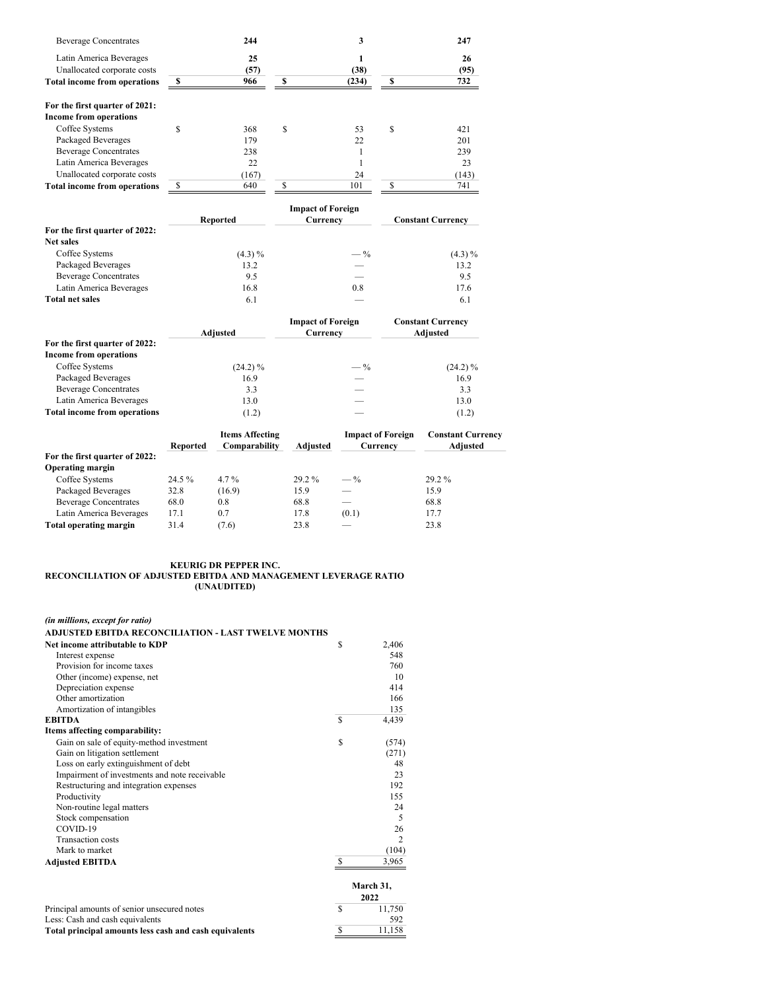| <b>Beverage Concentrates</b>        | 244                    |             | 3                        | 247                      |
|-------------------------------------|------------------------|-------------|--------------------------|--------------------------|
| Latin America Beverages             | 25                     |             | 1                        | 26                       |
| Unallocated corporate costs         | (57)                   |             | (38)                     | (95)                     |
| <b>Total income from operations</b> | \$<br>966              | \$          | (234)                    | \$<br>732                |
| For the first quarter of 2021:      |                        |             |                          |                          |
| <b>Income from operations</b>       |                        |             |                          |                          |
| Coffee Systems                      | \$<br>368              | $\mathbf S$ | 53                       | \$<br>421                |
| <b>Packaged Beverages</b>           | 179                    |             | 22                       | 201                      |
| <b>Beverage Concentrates</b>        | 238                    |             | 1                        | 239                      |
| Latin America Beverages             | 22                     |             | $\mathbf{1}$             | 23                       |
| Unallocated corporate costs         | (167)                  |             | 24                       | (143)                    |
| <b>Total income from operations</b> | \$<br>640              | \$          | 101                      | \$<br>741                |
|                                     |                        |             | <b>Impact of Foreign</b> |                          |
|                                     | <b>Reported</b>        |             | Currency                 | <b>Constant Currency</b> |
| For the first quarter of 2022:      |                        |             |                          |                          |
| <b>Net sales</b>                    |                        |             |                          |                          |
| Coffee Systems                      | $(4.3) \%$             |             | $-\frac{9}{6}$           | $(4.3) \%$               |
| <b>Packaged Beverages</b>           | 13.2                   |             |                          | 13.2                     |
| <b>Beverage Concentrates</b>        | 9.5                    |             |                          | 9.5                      |
| Latin America Beverages             | 16.8                   |             | 0.8                      | 17.6                     |
| <b>Total net sales</b>              | 6.1                    |             |                          | 6.1                      |
|                                     |                        |             | <b>Impact of Foreign</b> | <b>Constant Currency</b> |
|                                     | Adjusted               |             | Currency                 | Adjusted                 |
| For the first quarter of 2022:      |                        |             |                          |                          |
| <b>Income from operations</b>       |                        |             |                          |                          |
| Coffee Systems                      | $(24.2)\%$             |             | $-\frac{9}{6}$           | $(24.2)\%$               |
| <b>Packaged Beverages</b>           | 16.9                   |             |                          | 16.9                     |
| <b>Beverage Concentrates</b>        | 3.3                    |             |                          | 3.3                      |
| Latin America Beverages             | 13.0                   |             |                          | 13.0                     |
| <b>Total income from operations</b> | (1.2)                  |             |                          | (1.2)                    |
|                                     | <b>Items Affecting</b> |             | <b>Impact of Foreign</b> | <b>Constant Curre</b>    |

|                                | Reported | <b>Items Affecting</b><br>Comparability | <b>Adiusted</b> | <b>Impact of Foreign</b><br>Currency | <b>Constant Currency</b><br>Adjusted |
|--------------------------------|----------|-----------------------------------------|-----------------|--------------------------------------|--------------------------------------|
| For the first quarter of 2022: |          |                                         |                 |                                      |                                      |
| <b>Operating margin</b>        |          |                                         |                 |                                      |                                      |
| Coffee Systems                 | 24.5 %   | $4.7\%$                                 | $29.2\%$        | $-\frac{9}{6}$                       | $29.2\%$                             |
| Packaged Beverages             | 32.8     | (16.9)                                  | 15.9            |                                      | 15.9                                 |
| <b>Beverage Concentrates</b>   | 68.0     | 0.8                                     | 68.8            |                                      | 68.8                                 |
| Latin America Beverages        | 17.1     | 0.7                                     | 17.8            | (0.1)                                | 17.7                                 |
| Total operating margin         | 31.4     | (7.6)                                   | 23.8            |                                      | 23.8                                 |

### **KEURIG DR PEPPER INC. RECONCILIATION OF ADJUSTED EBITDA AND MANAGEMENT LEVERAGE RATIO (UNAUDITED)**

| (in millions, except for ratio)                            |          |                |
|------------------------------------------------------------|----------|----------------|
| <b>ADJUSTED EBITDA RECONCILIATION - LAST TWELVE MONTHS</b> |          |                |
| Net income attributable to KDP                             | S        | 2,406          |
| Interest expense                                           |          | 548            |
| Provision for income taxes                                 |          | 760            |
| Other (income) expense, net                                |          | 10             |
| Depreciation expense                                       |          | 414            |
| Other amortization                                         |          | 166            |
| Amortization of intangibles                                |          | 135            |
| <b>EBITDA</b>                                              | <b>S</b> | 4,439          |
| Items affecting comparability:                             |          |                |
| Gain on sale of equity-method investment                   | S        | (574)          |
| Gain on litigation settlement                              |          | (271)          |
| Loss on early extinguishment of debt                       |          | 48             |
| Impairment of investments and note receivable              |          | 23             |
| Restructuring and integration expenses                     |          | 192            |
| Productivity                                               |          | 155            |
| Non-routine legal matters                                  |          | 24             |
| Stock compensation                                         |          | 5              |
| COVID-19                                                   |          | 26             |
| <b>Transaction</b> costs                                   |          | $\overline{c}$ |
| Mark to market                                             |          | (104)          |
| <b>Adjusted EBITDA</b>                                     |          | 3,965          |
|                                                            |          | March 31,      |
|                                                            |          | 2022           |
| Principal amounts of senior unsecured notes                | <b>S</b> | 11,750         |
| Less: Cash and cash equivalents                            |          | 592            |
|                                                            | S        |                |
| Total principal amounts less cash and cash equivalents     |          | 11,158         |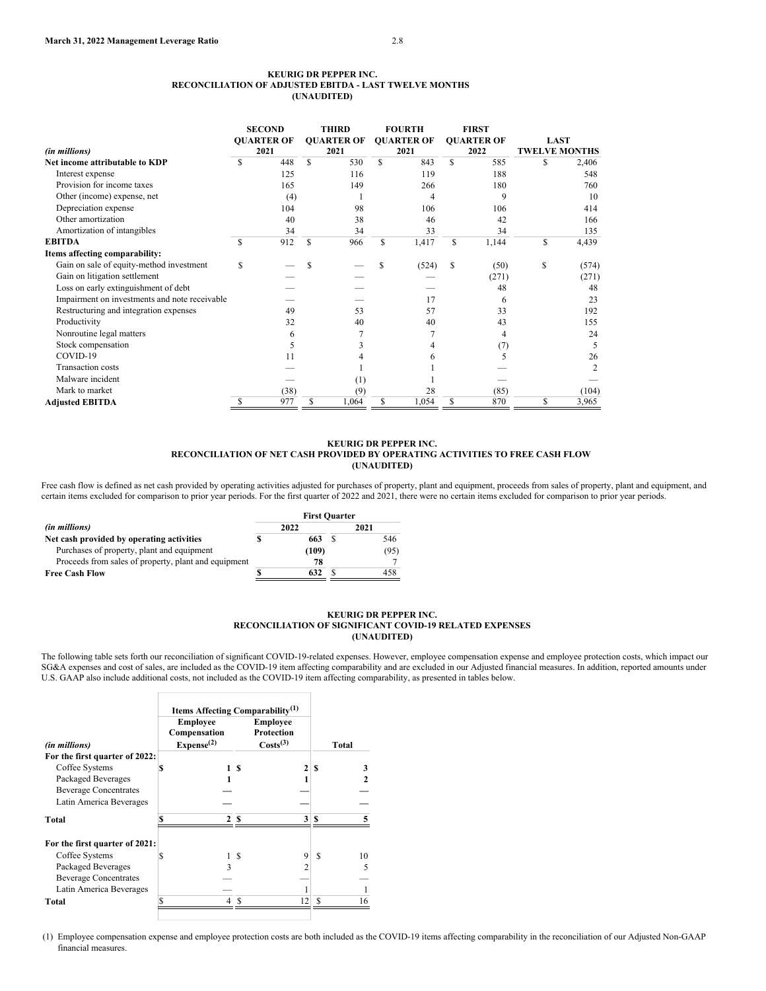|                                               |     | <b>SECOND</b>     |     | <b>THIRD</b>      |   | <b>FOURTH</b>     |    | <b>FIRST</b>      |                      |       |
|-----------------------------------------------|-----|-------------------|-----|-------------------|---|-------------------|----|-------------------|----------------------|-------|
|                                               |     | <b>OUARTER OF</b> |     | <b>OUARTER OF</b> |   | <b>OUARTER OF</b> |    | <b>OUARTER OF</b> | <b>LAST</b>          |       |
| (in millions)                                 |     | 2021              |     | 2021              |   | 2021              |    | 2022              | <b>TWELVE MONTHS</b> |       |
| Net income attributable to KDP                |     | 448               | S   | 530               | S | 843               | S  | 585               | S                    | 2,406 |
| Interest expense                              |     | 125               |     | 116               |   | 119               |    | 188               |                      | 548   |
| Provision for income taxes                    |     | 165               |     | 149               |   | 266               |    | 180               |                      | 760   |
| Other (income) expense, net                   |     | (4)               |     |                   |   |                   |    | 9                 |                      | 10    |
| Depreciation expense                          |     | 104               |     | 98                |   | 106               |    | 106               |                      | 414   |
| Other amortization                            |     | 40                |     | 38                |   | 46                |    | 42                |                      | 166   |
| Amortization of intangibles                   |     | 34                |     | 34                |   | 33                |    | 34                |                      | 135   |
| <b>EBITDA</b>                                 | \$. | 912               | \$. | 966               | S | 1,417             | S  | 1,144             | S                    | 4,439 |
| Items affecting comparability:                |     |                   |     |                   |   |                   |    |                   |                      |       |
| Gain on sale of equity-method investment      | \$  |                   |     |                   |   | (524)             | S  | (50)              | \$                   | (574) |
| Gain on litigation settlement                 |     |                   |     |                   |   |                   |    | (271)             |                      | (271) |
| Loss on early extinguishment of debt          |     |                   |     |                   |   |                   |    | 48                |                      | 48    |
| Impairment on investments and note receivable |     |                   |     |                   |   | 17                |    | 6                 |                      | 23    |
| Restructuring and integration expenses        |     | 49                |     | 53                |   | 57                |    | 33                |                      | 192   |
| Productivity                                  |     | 32                |     | 40                |   | 40                |    | 43                |                      | 155   |
| Nonroutine legal matters                      |     | 6                 |     |                   |   |                   |    | 4                 |                      | 24    |
| Stock compensation                            |     | 5                 |     |                   |   |                   |    | (7)               |                      | 5     |
| COVID-19                                      |     | 11                |     |                   |   |                   |    |                   |                      | 26    |
| <b>Transaction</b> costs                      |     |                   |     |                   |   |                   |    |                   |                      |       |
| Malware incident                              |     |                   |     | (1)               |   |                   |    |                   |                      |       |
| Mark to market                                |     | (38)              |     | (9)               |   | 28                |    | (85)              |                      | (104) |
| <b>Adjusted EBITDA</b>                        | S   | 977               | S   | 1,064             | S | 1,054             | \$ | 870               | S                    | 3,965 |

## **KEURIG DR PEPPER INC. RECONCILIATION OF NET CASH PROVIDED BY OPERATING ACTIVITIES TO FREE CASH FLOW (UNAUDITED)**

Free cash flow is defined as net cash provided by operating activities adjusted for purchases of property, plant and equipment, proceeds from sales of property, plant and equipment, and certain items excluded for comparison to prior year periods. For the first quarter of 2022 and 2021, there were no certain items excluded for comparison to prior year periods.

|                                                      | <b>First Quarter</b> |       |      |      |  |  |  |
|------------------------------------------------------|----------------------|-------|------|------|--|--|--|
| (in millions)                                        |                      | 2022  | 2021 |      |  |  |  |
| Net cash provided by operating activities            |                      | 663   |      | 546  |  |  |  |
| Purchases of property, plant and equipment           |                      | (109) |      | (95) |  |  |  |
| Proceeds from sales of property, plant and equipment |                      | 78    |      |      |  |  |  |
| <b>Free Cash Flow</b>                                |                      | 632   |      | 458  |  |  |  |

## **KEURIG DR PEPPER INC. RECONCILIATION OF SIGNIFICANT COVID-19 RELATED EXPENSES (UNAUDITED)**

The following table sets forth our reconciliation of significant COVID-19-related expenses. However, employee compensation expense and employee protection costs, which impact our SG&A expenses and cost of sales, are included as the COVID-19 item affecting comparability and are excluded in our Adjusted financial measures. In addition, reported amounts under U.S. GAAP also include additional costs, not included as the COVID-19 item affecting comparability, as presented in tables below.

|                                | Items Affecting Comparability <sup>(1)</sup> |                      |         |
|--------------------------------|----------------------------------------------|----------------------|---------|
|                                | <b>Employee</b>                              | <b>Employee</b>      |         |
|                                | Compensation                                 | Protection           |         |
| (in millions)                  | Expense <sup>(2)</sup>                       | Costs <sup>(3)</sup> | Total   |
| For the first quarter of 2022: |                                              |                      |         |
| Coffee Systems                 | S                                            | 1 S                  | S       |
| Packaged Beverages             |                                              |                      |         |
| <b>Beverage Concentrates</b>   |                                              |                      |         |
| Latin America Beverages        |                                              |                      |         |
| Total                          |                                              | S<br>3               | S       |
| For the first quarter of 2021: |                                              |                      |         |
| Coffee Systems                 | S                                            | 9<br>-S              | S<br>10 |
| Packaged Beverages             | ٩                                            |                      | 5       |
| <b>Beverage Concentrates</b>   |                                              |                      |         |
| Latin America Beverages        |                                              |                      |         |
| Total                          |                                              |                      |         |
|                                |                                              |                      |         |

 $\Gamma$ 

(1) Employee compensation expense and employee protection costs are both included as the COVID-19 items affecting comparability in the reconciliation of our Adjusted Non-GAAP financial measures.